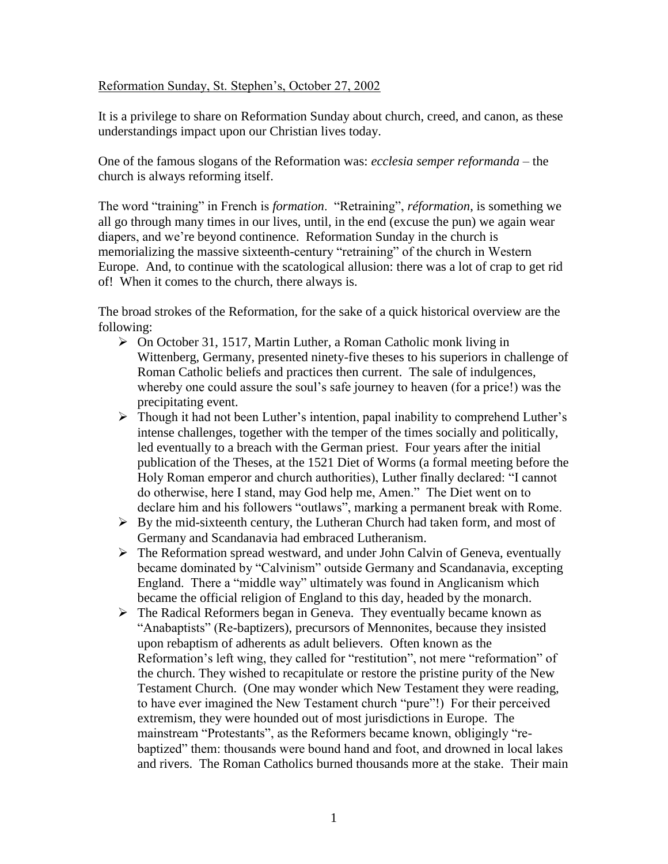#### Reformation Sunday, St. Stephen's, October 27, 2002

It is a privilege to share on Reformation Sunday about church, creed, and canon, as these understandings impact upon our Christian lives today.

One of the famous slogans of the Reformation was: *ecclesia semper reformanda* – the church is always reforming itself.

The word "training" in French is *formation*. "Retraining", *réformation*, is something we all go through many times in our lives, until, in the end (excuse the pun) we again wear diapers, and we're beyond continence. Reformation Sunday in the church is memorializing the massive sixteenth-century "retraining" of the church in Western Europe. And, to continue with the scatological allusion: there was a lot of crap to get rid of! When it comes to the church, there always is.

The broad strokes of the Reformation, for the sake of a quick historical overview are the following:

- On October 31, 1517, Martin Luther, a Roman Catholic monk living in Wittenberg, Germany, presented ninety-five theses to his superiors in challenge of Roman Catholic beliefs and practices then current. The sale of indulgences, whereby one could assure the soul's safe journey to heaven (for a price!) was the precipitating event.
- Though it had not been Luther's intention, papal inability to comprehend Luther's intense challenges, together with the temper of the times socially and politically, led eventually to a breach with the German priest. Four years after the initial publication of the Theses, at the 1521 Diet of Worms (a formal meeting before the Holy Roman emperor and church authorities), Luther finally declared: "I cannot do otherwise, here I stand, may God help me, Amen." The Diet went on to declare him and his followers "outlaws", marking a permanent break with Rome.
- $\triangleright$  By the mid-sixteenth century, the Lutheran Church had taken form, and most of Germany and Scandanavia had embraced Lutheranism.
- $\triangleright$  The Reformation spread westward, and under John Calvin of Geneva, eventually became dominated by "Calvinism" outside Germany and Scandanavia, excepting England. There a "middle way" ultimately was found in Anglicanism which became the official religion of England to this day, headed by the monarch.
- $\triangleright$  The Radical Reformers began in Geneva. They eventually became known as "Anabaptists" (Re-baptizers), precursors of Mennonites, because they insisted upon rebaptism of adherents as adult believers. Often known as the Reformation's left wing, they called for "restitution", not mere "reformation" of the church. They wished to recapitulate or restore the pristine purity of the New Testament Church. (One may wonder which New Testament they were reading, to have ever imagined the New Testament church "pure"!) For their perceived extremism, they were hounded out of most jurisdictions in Europe. The mainstream "Protestants", as the Reformers became known, obligingly "rebaptized" them: thousands were bound hand and foot, and drowned in local lakes and rivers. The Roman Catholics burned thousands more at the stake. Their main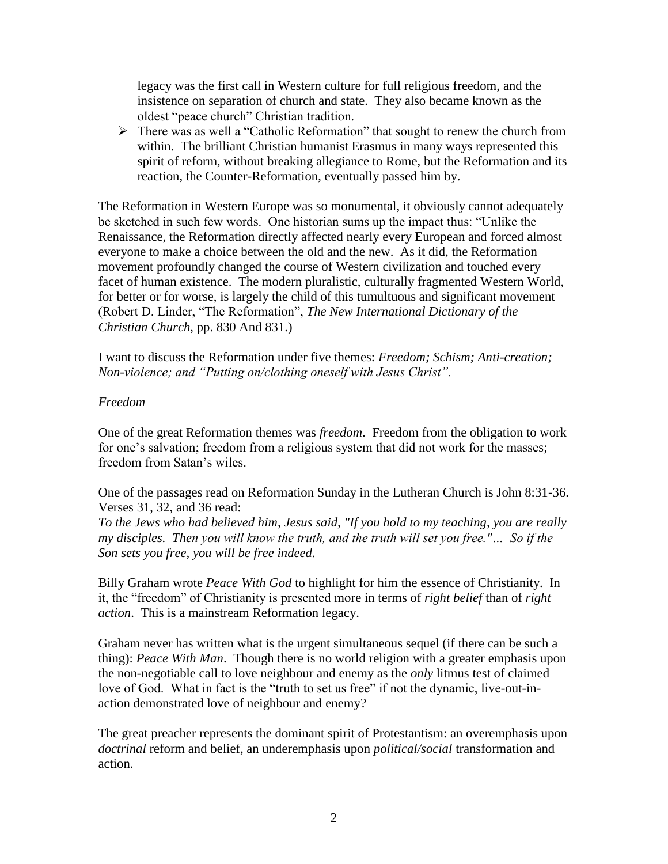legacy was the first call in Western culture for full religious freedom, and the insistence on separation of church and state. They also became known as the oldest "peace church" Christian tradition.

 $\triangleright$  There was as well a "Catholic Reformation" that sought to renew the church from within. The brilliant Christian humanist Erasmus in many ways represented this spirit of reform, without breaking allegiance to Rome, but the Reformation and its reaction, the Counter-Reformation, eventually passed him by.

The Reformation in Western Europe was so monumental, it obviously cannot adequately be sketched in such few words. One historian sums up the impact thus: "Unlike the Renaissance, the Reformation directly affected nearly every European and forced almost everyone to make a choice between the old and the new. As it did, the Reformation movement profoundly changed the course of Western civilization and touched every facet of human existence. The modern pluralistic, culturally fragmented Western World, for better or for worse, is largely the child of this tumultuous and significant movement (Robert D. Linder, "The Reformation", *The New International Dictionary of the Christian Church*, pp. 830 And 831.)

I want to discuss the Reformation under five themes: *Freedom; Schism; Anti-creation; Non-violence; and "Putting on/clothing oneself with Jesus Christ".*

## *Freedom*

One of the great Reformation themes was *freedom*. Freedom from the obligation to work for one's salvation; freedom from a religious system that did not work for the masses; freedom from Satan's wiles.

One of the passages read on Reformation Sunday in the Lutheran Church is John 8:31-36. Verses 31, 32, and 36 read:

*To the Jews who had believed him, Jesus said, "If you hold to my teaching, you are really my disciples. Then you will know the truth, and the truth will set you free."… So if the Son sets you free, you will be free indeed.* 

Billy Graham wrote *Peace With God* to highlight for him the essence of Christianity. In it, the "freedom" of Christianity is presented more in terms of *right belief* than of *right action*. This is a mainstream Reformation legacy.

Graham never has written what is the urgent simultaneous sequel (if there can be such a thing): *Peace With Man*. Though there is no world religion with a greater emphasis upon the non-negotiable call to love neighbour and enemy as the *only* litmus test of claimed love of God. What in fact is the "truth to set us free" if not the dynamic, live-out-inaction demonstrated love of neighbour and enemy?

The great preacher represents the dominant spirit of Protestantism: an overemphasis upon *doctrinal* reform and belief, an underemphasis upon *political/social* transformation and action.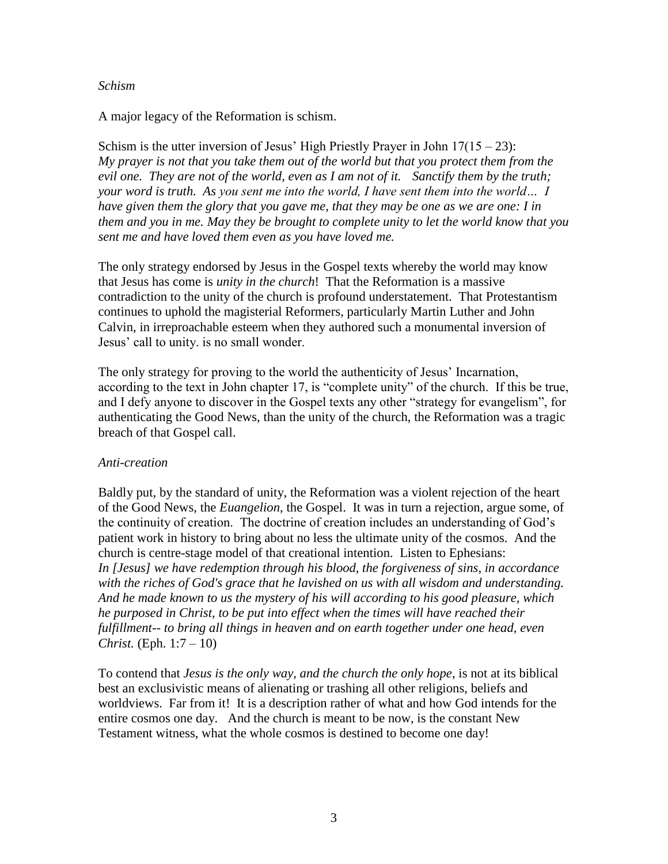#### *Schism*

A major legacy of the Reformation is schism.

Schism is the utter inversion of Jesus' High Priestly Prayer in John  $17(15 - 23)$ : *My prayer is not that you take them out of the world but that you protect them from the evil one. They are not of the world, even as I am not of it. Sanctify them by the truth; your word is truth. As you sent me into the world, I have sent them into the world… I have given them the glory that you gave me, that they may be one as we are one: I in them and you in me. May they be brought to complete unity to let the world know that you sent me and have loved them even as you have loved me.* 

The only strategy endorsed by Jesus in the Gospel texts whereby the world may know that Jesus has come is *unity in the church*! That the Reformation is a massive contradiction to the unity of the church is profound understatement. That Protestantism continues to uphold the magisterial Reformers, particularly Martin Luther and John Calvin, in irreproachable esteem when they authored such a monumental inversion of Jesus' call to unity. is no small wonder.

The only strategy for proving to the world the authenticity of Jesus' Incarnation, according to the text in John chapter 17, is "complete unity" of the church. If this be true, and I defy anyone to discover in the Gospel texts any other "strategy for evangelism", for authenticating the Good News, than the unity of the church, the Reformation was a tragic breach of that Gospel call.

### *Anti-creation*

Baldly put, by the standard of unity, the Reformation was a violent rejection of the heart of the Good News, the *Euangelion*, the Gospel. It was in turn a rejection, argue some, of the continuity of creation. The doctrine of creation includes an understanding of God's patient work in history to bring about no less the ultimate unity of the cosmos. And the church is centre-stage model of that creational intention. Listen to Ephesians: *In [Jesus] we have redemption through his blood, the forgiveness of sins, in accordance with the riches of God's grace that he lavished on us with all wisdom and understanding. And he made known to us the mystery of his will according to his good pleasure, which he purposed in Christ, to be put into effect when the times will have reached their fulfillment-- to bring all things in heaven and on earth together under one head, even Christ.* (Eph. 1:7 – 10)

To contend that *Jesus is the only way, and the church the only hope*, is not at its biblical best an exclusivistic means of alienating or trashing all other religions, beliefs and worldviews. Far from it! It is a description rather of what and how God intends for the entire cosmos one day. And the church is meant to be now, is the constant New Testament witness, what the whole cosmos is destined to become one day!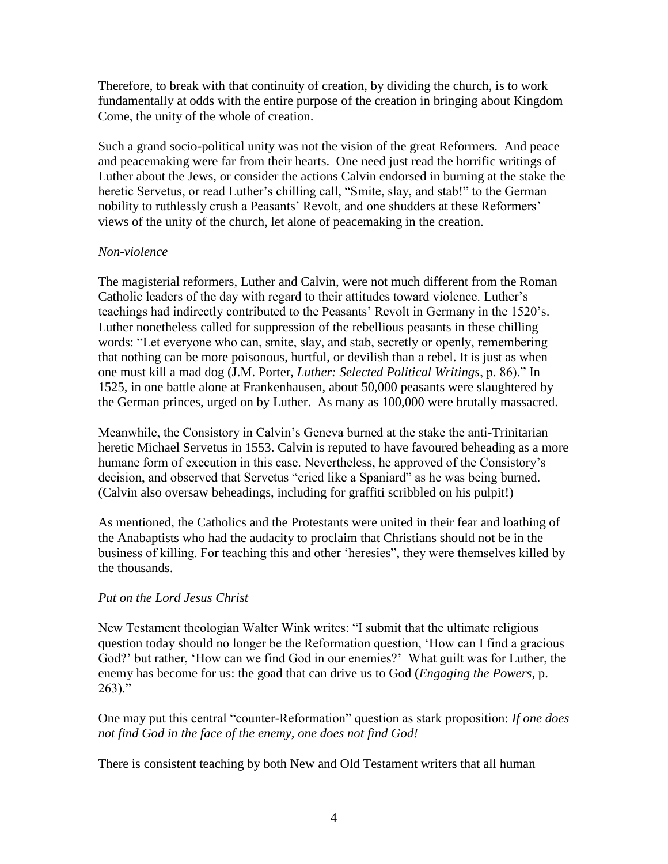Therefore, to break with that continuity of creation, by dividing the church, is to work fundamentally at odds with the entire purpose of the creation in bringing about Kingdom Come, the unity of the whole of creation.

Such a grand socio-political unity was not the vision of the great Reformers. And peace and peacemaking were far from their hearts. One need just read the horrific writings of Luther about the Jews, or consider the actions Calvin endorsed in burning at the stake the heretic Servetus, or read Luther's chilling call, "Smite, slay, and stab!" to the German nobility to ruthlessly crush a Peasants' Revolt, and one shudders at these Reformers' views of the unity of the church, let alone of peacemaking in the creation.

## *Non-violence*

The magisterial reformers, Luther and Calvin, were not much different from the Roman Catholic leaders of the day with regard to their attitudes toward violence. Luther's teachings had indirectly contributed to the Peasants' Revolt in Germany in the 1520's. Luther nonetheless called for suppression of the rebellious peasants in these chilling words: "Let everyone who can, smite, slay, and stab, secretly or openly, remembering that nothing can be more poisonous, hurtful, or devilish than a rebel. It is just as when one must kill a mad dog (J.M. Porter, *Luther: Selected Political Writings*, p. 86)." In 1525, in one battle alone at Frankenhausen, about 50,000 peasants were slaughtered by the German princes, urged on by Luther. As many as 100,000 were brutally massacred.

Meanwhile, the Consistory in Calvin's Geneva burned at the stake the anti-Trinitarian heretic Michael Servetus in 1553. Calvin is reputed to have favoured beheading as a more humane form of execution in this case. Nevertheless, he approved of the Consistory's decision, and observed that Servetus "cried like a Spaniard" as he was being burned. (Calvin also oversaw beheadings, including for graffiti scribbled on his pulpit!)

As mentioned, the Catholics and the Protestants were united in their fear and loathing of the Anabaptists who had the audacity to proclaim that Christians should not be in the business of killing. For teaching this and other 'heresies", they were themselves killed by the thousands.

# *Put on the Lord Jesus Christ*

New Testament theologian Walter Wink writes: "I submit that the ultimate religious question today should no longer be the Reformation question, 'How can I find a gracious God?' but rather, 'How can we find God in our enemies?' What guilt was for Luther, the enemy has become for us: the goad that can drive us to God (*Engaging the Powers*, p.  $263)$ ."

One may put this central "counter-Reformation" question as stark proposition: *If one does not find God in the face of the enemy, one does not find God!*

There is consistent teaching by both New and Old Testament writers that all human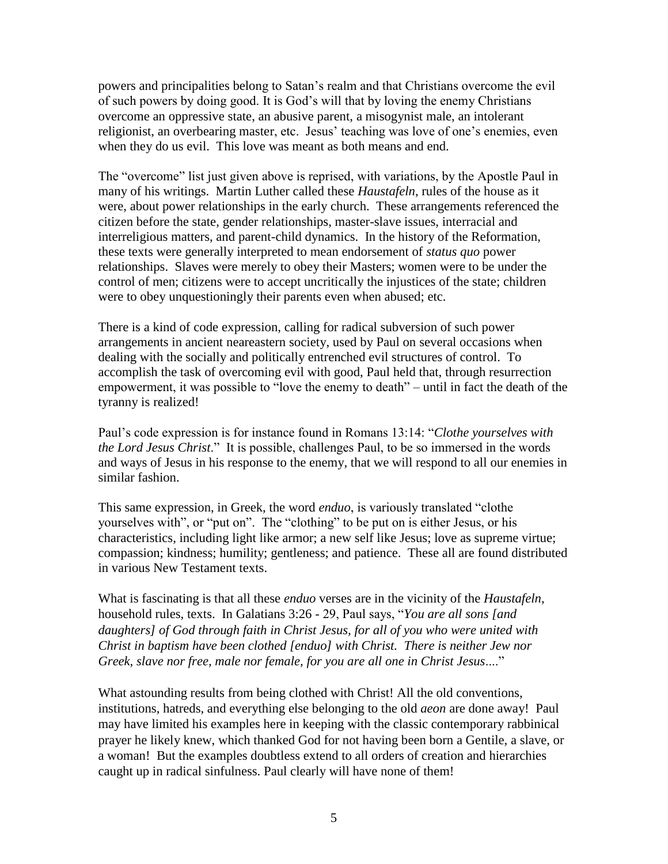powers and principalities belong to Satan's realm and that Christians overcome the evil of such powers by doing good. It is God's will that by loving the enemy Christians overcome an oppressive state, an abusive parent, a misogynist male, an intolerant religionist, an overbearing master, etc. Jesus' teaching was love of one's enemies, even when they do us evil. This love was meant as both means and end.

The "overcome" list just given above is reprised, with variations, by the Apostle Paul in many of his writings. Martin Luther called these *Haustafeln*, rules of the house as it were, about power relationships in the early church. These arrangements referenced the citizen before the state, gender relationships, master-slave issues, interracial and interreligious matters, and parent-child dynamics. In the history of the Reformation, these texts were generally interpreted to mean endorsement of *status quo* power relationships. Slaves were merely to obey their Masters; women were to be under the control of men; citizens were to accept uncritically the injustices of the state; children were to obey unquestioningly their parents even when abused; etc.

There is a kind of code expression, calling for radical subversion of such power arrangements in ancient neareastern society, used by Paul on several occasions when dealing with the socially and politically entrenched evil structures of control. To accomplish the task of overcoming evil with good, Paul held that, through resurrection empowerment, it was possible to "love the enemy to death" – until in fact the death of the tyranny is realized!

Paul's code expression is for instance found in Romans 13:14: "*Clothe yourselves with the Lord Jesus Christ*." It is possible, challenges Paul, to be so immersed in the words and ways of Jesus in his response to the enemy, that we will respond to all our enemies in similar fashion.

This same expression, in Greek, the word *enduo*, is variously translated "clothe yourselves with", or "put on". The "clothing" to be put on is either Jesus, or his characteristics, including light like armor; a new self like Jesus; love as supreme virtue; compassion; kindness; humility; gentleness; and patience. These all are found distributed in various New Testament texts.

What is fascinating is that all these *enduo* verses are in the vicinity of the *Haustafeln*, household rules, texts. In Galatians 3:26 - 29, Paul says, "*You are all sons [and daughters] of God through faith in Christ Jesus, for all of you who were united with Christ in baptism have been clothed [enduo] with Christ. There is neither Jew nor Greek, slave nor free, male nor female, for you are all one in Christ Jesus*...."

What astounding results from being clothed with Christ! All the old conventions, institutions, hatreds, and everything else belonging to the old *aeon* are done away! Paul may have limited his examples here in keeping with the classic contemporary rabbinical prayer he likely knew, which thanked God for not having been born a Gentile, a slave, or a woman! But the examples doubtless extend to all orders of creation and hierarchies caught up in radical sinfulness. Paul clearly will have none of them!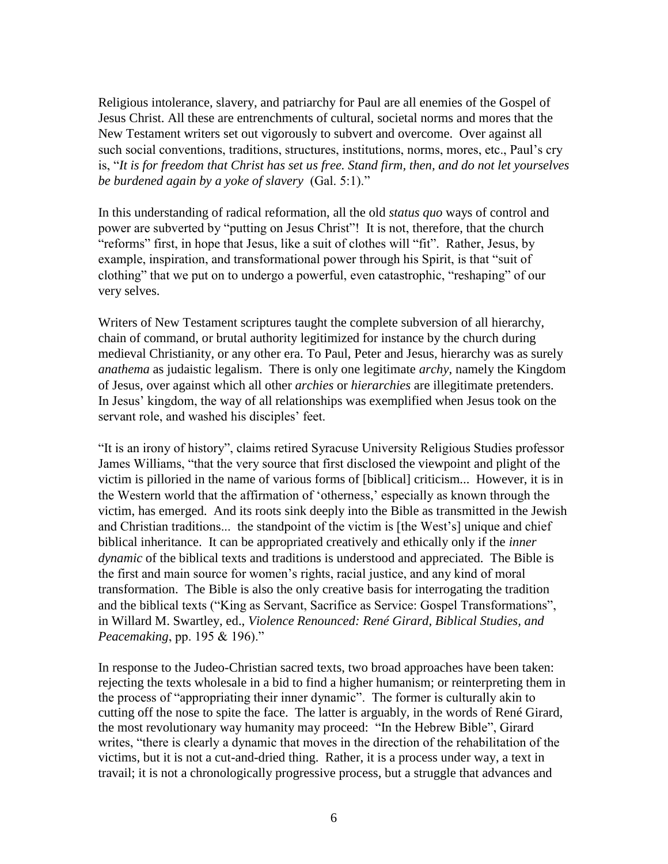Religious intolerance, slavery, and patriarchy for Paul are all enemies of the Gospel of Jesus Christ. All these are entrenchments of cultural, societal norms and mores that the New Testament writers set out vigorously to subvert and overcome. Over against all such social conventions, traditions, structures, institutions, norms, mores, etc., Paul's cry is, "*It is for freedom that Christ has set us free. Stand firm, then, and do not let yourselves be burdened again by a yoke of slavery* (Gal. 5:1)."

In this understanding of radical reformation, all the old *status quo* ways of control and power are subverted by "putting on Jesus Christ"! It is not, therefore, that the church "reforms" first, in hope that Jesus, like a suit of clothes will "fit". Rather, Jesus, by example, inspiration, and transformational power through his Spirit, is that "suit of clothing" that we put on to undergo a powerful, even catastrophic, "reshaping" of our very selves.

Writers of New Testament scriptures taught the complete subversion of all hierarchy, chain of command, or brutal authority legitimized for instance by the church during medieval Christianity, or any other era. To Paul, Peter and Jesus, hierarchy was as surely *anathema* as judaistic legalism. There is only one legitimate *archy*, namely the Kingdom of Jesus, over against which all other *archies* or *hierarchies* are illegitimate pretenders. In Jesus' kingdom, the way of all relationships was exemplified when Jesus took on the servant role, and washed his disciples' feet.

"It is an irony of history", claims retired Syracuse University Religious Studies professor James Williams, "that the very source that first disclosed the viewpoint and plight of the victim is pilloried in the name of various forms of [biblical] criticism... However, it is in the Western world that the affirmation of 'otherness,' especially as known through the victim, has emerged. And its roots sink deeply into the Bible as transmitted in the Jewish and Christian traditions... the standpoint of the victim is [the West's] unique and chief biblical inheritance. It can be appropriated creatively and ethically only if the *inner dynamic* of the biblical texts and traditions is understood and appreciated. The Bible is the first and main source for women's rights, racial justice, and any kind of moral transformation. The Bible is also the only creative basis for interrogating the tradition and the biblical texts ("King as Servant, Sacrifice as Service: Gospel Transformations", in Willard M. Swartley, ed., *Violence Renounced: René Girard, Biblical Studies, and Peacemaking*, pp. 195 & 196)."

In response to the Judeo-Christian sacred texts, two broad approaches have been taken: rejecting the texts wholesale in a bid to find a higher humanism; or reinterpreting them in the process of "appropriating their inner dynamic". The former is culturally akin to cutting off the nose to spite the face. The latter is arguably, in the words of René Girard, the most revolutionary way humanity may proceed: "In the Hebrew Bible", Girard writes, "there is clearly a dynamic that moves in the direction of the rehabilitation of the victims, but it is not a cut-and-dried thing. Rather, it is a process under way, a text in travail; it is not a chronologically progressive process, but a struggle that advances and